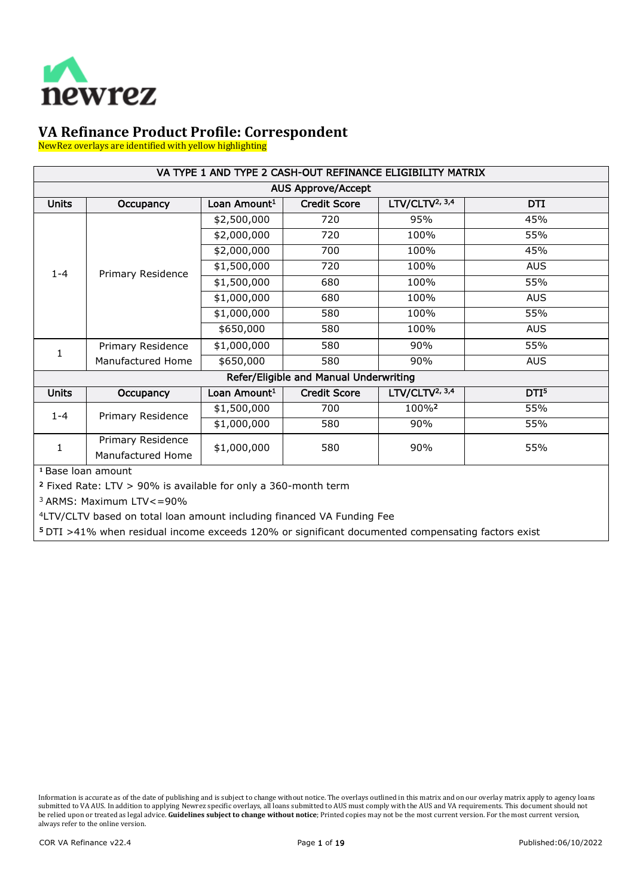

NewRez overlays are identified with yellow highlighting

| VA TYPE 1 AND TYPE 2 CASH-OUT REFINANCE ELIGIBILITY MATRIX                                               |                   |                          |                                        |                            |                  |  |
|----------------------------------------------------------------------------------------------------------|-------------------|--------------------------|----------------------------------------|----------------------------|------------------|--|
|                                                                                                          |                   |                          | <b>AUS Approve/Accept</b>              |                            |                  |  |
| <b>Units</b>                                                                                             | Occupancy         | Loan Amount <sup>1</sup> | <b>Credit Score</b>                    | LTV/CLTV <sup>2, 3,4</sup> | <b>DTI</b>       |  |
|                                                                                                          |                   | \$2,500,000              | 720                                    | 95%                        | 45%              |  |
|                                                                                                          |                   | \$2,000,000              | 720                                    | 100%                       | 55%              |  |
|                                                                                                          |                   | \$2,000,000              | 700                                    | 100%                       | 45%              |  |
| $1 - 4$                                                                                                  | Primary Residence | \$1,500,000              | 720                                    | 100%                       | <b>AUS</b>       |  |
|                                                                                                          |                   | \$1,500,000              | 680                                    | 100%                       | 55%              |  |
|                                                                                                          |                   | \$1,000,000              | 680                                    | 100%                       | <b>AUS</b>       |  |
|                                                                                                          |                   | \$1,000,000              | 580                                    | 100%                       | 55%              |  |
|                                                                                                          |                   | \$650,000                | 580                                    | 100%                       | <b>AUS</b>       |  |
| 1                                                                                                        | Primary Residence | \$1,000,000              | 580                                    | 90%                        | 55%              |  |
|                                                                                                          | Manufactured Home | \$650,000                | 580                                    | 90%                        | <b>AUS</b>       |  |
|                                                                                                          |                   |                          | Refer/Eligible and Manual Underwriting |                            |                  |  |
| <b>Units</b>                                                                                             | Occupancy         | Loan Amount <sup>1</sup> | <b>Credit Score</b>                    | LTV/CLTV <sup>2, 3,4</sup> | DTI <sup>5</sup> |  |
| $1 - 4$                                                                                                  | Primary Residence | \$1,500,000              | 700                                    | 100%2                      | 55%              |  |
|                                                                                                          |                   | \$1,000,000              | 580                                    | 90%                        | 55%              |  |
| 1                                                                                                        | Primary Residence | \$1,000,000              | 580                                    | 90%                        | 55%              |  |
|                                                                                                          | Manufactured Home |                          |                                        |                            |                  |  |
| $\overline{a}$ $\overline{b}$ $\overline{a}$ $\overline{b}$ $\overline{c}$ $\overline{d}$ $\overline{c}$ |                   |                          |                                        |                            |                  |  |

**<sup>1</sup>** Base loan amount

<sup>2</sup> Fixed Rate: LTV > 90% is available for only a 360-month term

3 ARMS: Maximum LTV<=90%

4LTV/CLTV based on total loan amount including financed VA Funding Fee

<sup>5</sup> DTI >41% when residual income exceeds 120% or significant documented compensating factors exist

Information is accurate as of the date of publishing and is subject to change without notice. The overlays outlined in this matrix and on our overlay matrix apply to agency loans submitted to VA AUS. In addition to applying Newrez specific overlays, all loans submitted to AUS must comply with the AUS and VA requirements. This document should not be relied upon or treated as legal advice. **Guidelines subject to change without notice**; Printed copies may not be the most current version. For the most current version, always refer to the online version.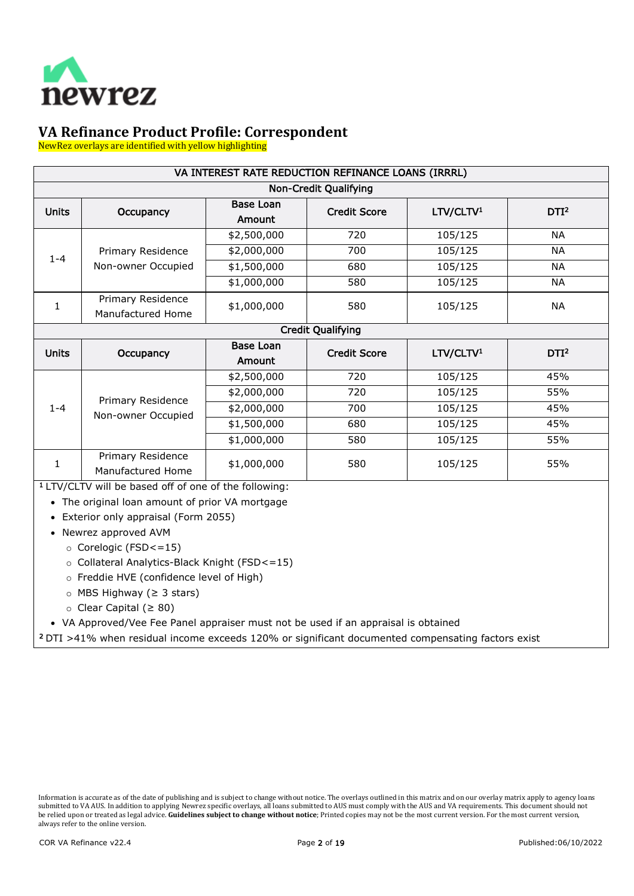

NewRez overlays are identified with yellow highlighting

| VA INTEREST RATE REDUCTION REFINANCE LOANS (IRRRL) |                                        |                            |                              |                       |                  |
|----------------------------------------------------|----------------------------------------|----------------------------|------------------------------|-----------------------|------------------|
|                                                    |                                        |                            | <b>Non-Credit Qualifying</b> |                       |                  |
| <b>Units</b>                                       | Occupancy                              | <b>Base Loan</b><br>Amount | <b>Credit Score</b>          | LTV/CLTV <sup>1</sup> | DTI <sup>2</sup> |
|                                                    |                                        | \$2,500,000                | 720                          | 105/125               | <b>NA</b>        |
| $1 - 4$                                            | Primary Residence                      | \$2,000,000                | 700                          | 105/125               | <b>NA</b>        |
|                                                    | Non-owner Occupied                     | \$1,500,000                | 680                          | 105/125               | <b>NA</b>        |
|                                                    |                                        | \$1,000,000                | 580                          | 105/125               | <b>NA</b>        |
| 1                                                  | Primary Residence<br>Manufactured Home | \$1,000,000                | 580                          | 105/125               | <b>NA</b>        |
|                                                    |                                        |                            | <b>Credit Qualifying</b>     |                       |                  |
| <b>Units</b>                                       | Occupancy                              | <b>Base Loan</b><br>Amount | <b>Credit Score</b>          | LTV/CLTV <sup>1</sup> | DTI <sup>2</sup> |
|                                                    |                                        | \$2,500,000                | 720                          | 105/125               | 45%              |
|                                                    | Primary Residence                      | \$2,000,000                | 720                          | 105/125               | 55%              |
| $1 - 4$                                            | Non-owner Occupied                     | \$2,000,000                | 700                          | 105/125               | 45%              |
|                                                    |                                        | \$1,500,000                | 680                          | 105/125               | 45%              |
|                                                    |                                        | \$1,000,000                | 580                          | 105/125               | 55%              |
| 1                                                  | Primary Residence<br>Manufactured Home | \$1,000,000                | 580                          | 105/125               | 55%              |

1 LTV/CLTV will be based off of one of the following:

• The original loan amount of prior VA mortgage

- Exterior only appraisal (Form 2055)
- Newrez approved AVM
	- o Corelogic (FSD<=15)
	- o Collateral Analytics-Black Knight (FSD<=15)
	- o Freddie HVE (confidence level of High)
	- o MBS Highway (≥ 3 stars)
	- o Clear Capital (≥ 80)

• VA Approved/Vee Fee Panel appraiser must not be used if an appraisal is obtained

2 DTI >41% when residual income exceeds 120% or significant documented compensating factors exist

Information is accurate as of the date of publishing and is subject to change without notice. The overlays outlined in this matrix and on our overlay matrix apply to agency loans submitted to VA AUS. In addition to applying Newrez specific overlays, all loans submitted to AUS must comply with the AUS and VA requirements. This document should not be relied upon or treated as legal advice. **Guidelines subject to change without notice**; Printed copies may not be the most current version. For the most current version, always refer to the online version.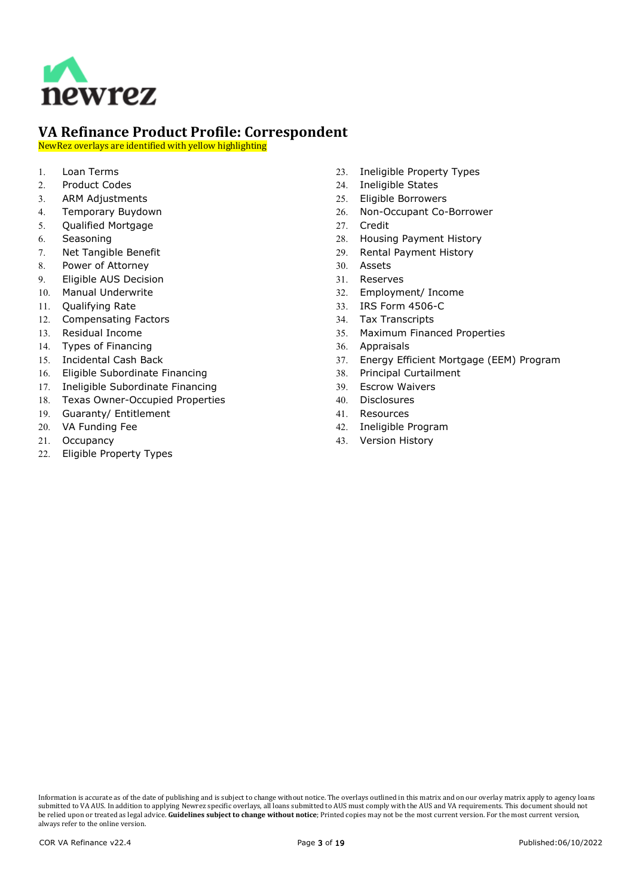

NewRez overlays are identified with yellow highlighting

- 1. [Loan Terms](#page-3-0)
- 2. [Product Codes](#page-3-1)
- 3. [ARM Adjustments](#page-3-2)
- 4. [Temporary Buydown](#page-3-3)
- 5. [Qualified Mortgage](#page-3-4)
- 6. [Seasoning](#page-3-5)
- 7. [Net Tangible Benefit](#page-4-0)
- 8. [Power of Attorney](#page-6-0)
- 9. [Eligible AUS Decision](#page-6-1)
- 10. [Manual Underwrite](#page-6-2)
- 11. [Qualifying Rate](#page-6-3)
- 12. [Compensating Factors](#page-6-4)
- 13. [Residual Income](#page-7-0)
- 14. [Types of Financing](#page-7-1)
- 15. [Incidental Cash Back](#page-7-2)
- 16. [Eligible Subordinate Financing](#page-7-3)
- 17. [Ineligible Subordinate Financing](#page-7-4)
- 18. [Texas Owner-Occupied Properties](#page-7-5)
- 19. [Guaranty/ Entitlement](#page-9-0)
- 20. [VA Funding Fee](#page-9-1)
- 21. [Occupancy](#page-9-2)
- 22. [Eligible Property Types](#page-10-0)
- 23. [Ineligible Property Types](#page-10-1)
- 24. [Ineligible States](#page-10-2)
- 25. [Eligible Borrowers](#page-10-3)
- 26. [Non-Occupant Co-Borrower](#page-11-0)
- 27. [Credit](#page-11-1)
- 28. [Housing Payment History](#page-11-2)
- 29. [Rental Payment History](#page-12-0)
- 30. [Assets](#page-12-1)
- 31. [Reserves](#page-13-0)
- 32. [Employment/ Income](#page-13-1)
- 33. [IRS Form 4506-C](#page-13-2)
- 34. [Tax Transcripts](#page-14-0)
- 35. [Maximum Financed Properties](#page-14-1)
- 36. [Appraisals](#page-14-2)
- 37. [Energy Efficient Mortgage \(EEM\) Program](#page-14-3)
- 38. [Principal Curtailment](#page-14-4)
- 39. [Escrow Waivers](#page-15-0)
- 40. [Disclosures](#page-15-1)
- 41. [Resources](#page-15-2)
- 42. [Ineligible Program](#page-15-3)
- 43. [Version History](#page-16-0)

Information is accurate as of the date of publishing and is subject to change without notice. The overlays outlined in this matrix and on our overlay matrix apply to agency loans submitted to VA AUS. In addition to applying Newrez specific overlays, all loans submitted to AUS must comply with the AUS and VA requirements. This document should not be relied upon or treated as legal advice. **Guidelines subject to change without notice**; Printed copies may not be the most current version. For the most current version, always refer to the online version.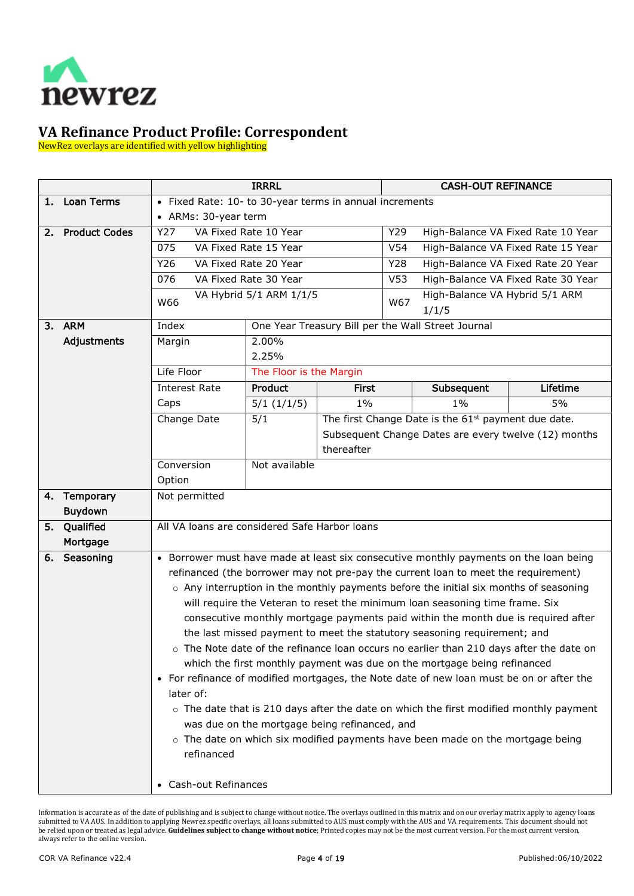

NewRez overlays are identified with yellow highlighting

<span id="page-3-5"></span><span id="page-3-4"></span><span id="page-3-3"></span><span id="page-3-2"></span><span id="page-3-1"></span><span id="page-3-0"></span>

|    |                          |                                                                                                                                                                                   | <b>IRRRL</b>                                  |            | <b>CASH-OUT REFINANCE</b> |                                                                                              |                                    |
|----|--------------------------|-----------------------------------------------------------------------------------------------------------------------------------------------------------------------------------|-----------------------------------------------|------------|---------------------------|----------------------------------------------------------------------------------------------|------------------------------------|
| 1. | <b>Loan Terms</b>        | • Fixed Rate: 10- to 30-year terms in annual increments                                                                                                                           |                                               |            |                           |                                                                                              |                                    |
|    |                          | • ARMs: 30-year term                                                                                                                                                              |                                               |            |                           |                                                                                              |                                    |
| 2. | <b>Product Codes</b>     | Y27<br>VA Fixed Rate 10 Year                                                                                                                                                      |                                               |            | Y29                       |                                                                                              | High-Balance VA Fixed Rate 10 Year |
|    |                          | 075                                                                                                                                                                               | VA Fixed Rate 15 Year                         |            | V <sub>54</sub>           |                                                                                              | High-Balance VA Fixed Rate 15 Year |
|    |                          | Y26                                                                                                                                                                               | VA Fixed Rate 20 Year                         |            | Y28                       |                                                                                              | High-Balance VA Fixed Rate 20 Year |
|    |                          | 076                                                                                                                                                                               | VA Fixed Rate 30 Year                         |            | V <sub>53</sub>           |                                                                                              | High-Balance VA Fixed Rate 30 Year |
|    |                          | W66                                                                                                                                                                               | VA Hybrid 5/1 ARM 1/1/5                       |            | W67                       | High-Balance VA Hybrid 5/1 ARM<br>1/1/5                                                      |                                    |
|    | 3. ARM                   | Index                                                                                                                                                                             |                                               |            |                           | One Year Treasury Bill per the Wall Street Journal                                           |                                    |
|    | Adjustments              | Margin                                                                                                                                                                            | 2.00%<br>2.25%                                |            |                           |                                                                                              |                                    |
|    |                          | Life Floor                                                                                                                                                                        | The Floor is the Margin                       |            |                           |                                                                                              |                                    |
|    |                          | <b>Interest Rate</b>                                                                                                                                                              | Product                                       | First      |                           | Subsequent                                                                                   | Lifetime                           |
|    |                          | Caps                                                                                                                                                                              | 5/1(1/1/5)                                    | $1\%$      |                           | $1\%$                                                                                        | $5\%$                              |
|    |                          | Change Date                                                                                                                                                                       | 5/1                                           |            |                           | The first Change Date is the 61 <sup>st</sup> payment due date.                              |                                    |
|    |                          |                                                                                                                                                                                   |                                               |            |                           | Subsequent Change Dates are every twelve (12) months                                         |                                    |
|    |                          |                                                                                                                                                                                   |                                               | thereafter |                           |                                                                                              |                                    |
|    |                          | Conversion                                                                                                                                                                        | Not available                                 |            |                           |                                                                                              |                                    |
|    |                          | Option                                                                                                                                                                            |                                               |            |                           |                                                                                              |                                    |
|    | 4. Temporary             | Not permitted                                                                                                                                                                     |                                               |            |                           |                                                                                              |                                    |
|    | <b>Buydown</b>           | All VA loans are considered Safe Harbor loans                                                                                                                                     |                                               |            |                           |                                                                                              |                                    |
| 5. | Qualified                |                                                                                                                                                                                   |                                               |            |                           |                                                                                              |                                    |
|    | Mortgage<br>6. Seasoning |                                                                                                                                                                                   |                                               |            |                           |                                                                                              |                                    |
|    |                          | • Borrower must have made at least six consecutive monthly payments on the loan being                                                                                             |                                               |            |                           |                                                                                              |                                    |
|    |                          | refinanced (the borrower may not pre-pay the current loan to meet the requirement)<br>$\circ$ Any interruption in the monthly payments before the initial six months of seasoning |                                               |            |                           |                                                                                              |                                    |
|    |                          |                                                                                                                                                                                   |                                               |            |                           | will require the Veteran to reset the minimum loan seasoning time frame. Six                 |                                    |
|    |                          |                                                                                                                                                                                   |                                               |            |                           | consecutive monthly mortgage payments paid within the month due is required after            |                                    |
|    |                          |                                                                                                                                                                                   |                                               |            |                           | the last missed payment to meet the statutory seasoning requirement; and                     |                                    |
|    |                          |                                                                                                                                                                                   |                                               |            |                           | o The Note date of the refinance loan occurs no earlier than 210 days after the date on      |                                    |
|    |                          |                                                                                                                                                                                   |                                               |            |                           | which the first monthly payment was due on the mortgage being refinanced                     |                                    |
|    |                          |                                                                                                                                                                                   |                                               |            |                           | • For refinance of modified mortgages, the Note date of new loan must be on or after the     |                                    |
|    |                          | later of:                                                                                                                                                                         |                                               |            |                           |                                                                                              |                                    |
|    |                          |                                                                                                                                                                                   |                                               |            |                           | $\circ$ The date that is 210 days after the date on which the first modified monthly payment |                                    |
|    |                          |                                                                                                                                                                                   | was due on the mortgage being refinanced, and |            |                           |                                                                                              |                                    |
|    |                          |                                                                                                                                                                                   |                                               |            |                           | $\circ$ The date on which six modified payments have been made on the mortgage being         |                                    |
|    |                          | refinanced                                                                                                                                                                        |                                               |            |                           |                                                                                              |                                    |
|    |                          | • Cash-out Refinances                                                                                                                                                             |                                               |            |                           |                                                                                              |                                    |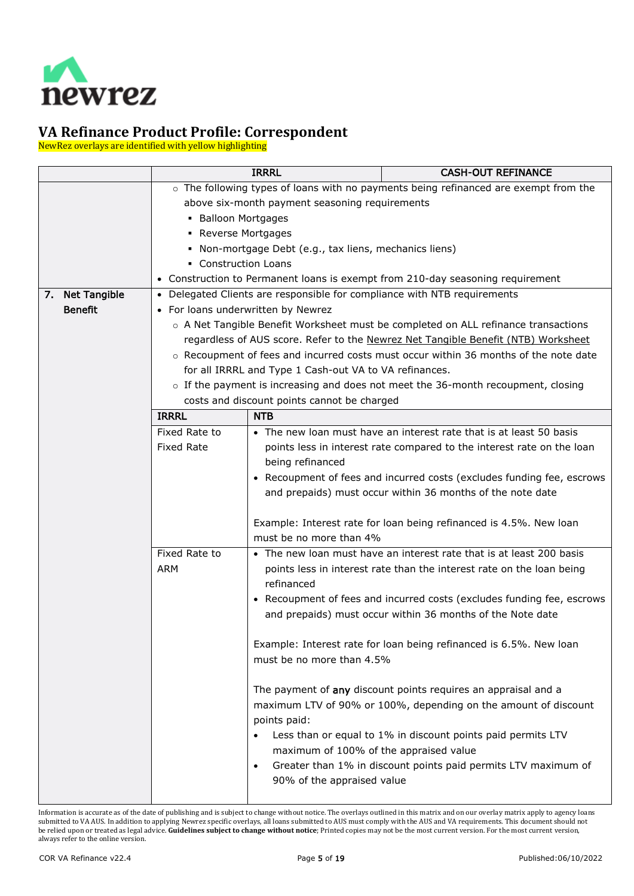

NewRez overlays are identified with yellow highlighting

<span id="page-4-0"></span>

|                 | <b>IRRRL</b>                       |                                                                                   | <b>CASH-OUT REFINANCE</b>                                                            |  |  |  |
|-----------------|------------------------------------|-----------------------------------------------------------------------------------|--------------------------------------------------------------------------------------|--|--|--|
|                 |                                    |                                                                                   | o The following types of loans with no payments being refinanced are exempt from the |  |  |  |
|                 |                                    | above six-month payment seasoning requirements                                    |                                                                                      |  |  |  |
|                 | • Balloon Mortgages                |                                                                                   |                                                                                      |  |  |  |
|                 | • Reverse Mortgages                |                                                                                   |                                                                                      |  |  |  |
|                 |                                    | Non-mortgage Debt (e.g., tax liens, mechanics liens)                              |                                                                                      |  |  |  |
|                 | • Construction Loans               |                                                                                   |                                                                                      |  |  |  |
|                 |                                    |                                                                                   | • Construction to Permanent loans is exempt from 210-day seasoning requirement       |  |  |  |
| 7. Net Tangible |                                    |                                                                                   | • Delegated Clients are responsible for compliance with NTB requirements             |  |  |  |
| <b>Benefit</b>  | • For loans underwritten by Newrez |                                                                                   |                                                                                      |  |  |  |
|                 |                                    |                                                                                   | ○ A Net Tangible Benefit Worksheet must be completed on ALL refinance transactions   |  |  |  |
|                 |                                    |                                                                                   | regardless of AUS score. Refer to the Newrez Net Tangible Benefit (NTB) Worksheet    |  |  |  |
|                 |                                    |                                                                                   | ○ Recoupment of fees and incurred costs must occur within 36 months of the note date |  |  |  |
|                 |                                    | for all IRRRL and Type 1 Cash-out VA to VA refinances.                            |                                                                                      |  |  |  |
|                 |                                    | o If the payment is increasing and does not meet the 36-month recoupment, closing |                                                                                      |  |  |  |
|                 |                                    | costs and discount points cannot be charged                                       |                                                                                      |  |  |  |
|                 | <b>IRRRL</b>                       | <b>NTB</b>                                                                        |                                                                                      |  |  |  |
|                 | Fixed Rate to                      |                                                                                   | • The new loan must have an interest rate that is at least 50 basis                  |  |  |  |
|                 | <b>Fixed Rate</b>                  |                                                                                   | points less in interest rate compared to the interest rate on the loan               |  |  |  |
|                 |                                    | being refinanced                                                                  |                                                                                      |  |  |  |
|                 |                                    |                                                                                   | • Recoupment of fees and incurred costs (excludes funding fee, escrows               |  |  |  |
|                 |                                    |                                                                                   | and prepaids) must occur within 36 months of the note date                           |  |  |  |
|                 |                                    |                                                                                   |                                                                                      |  |  |  |
|                 |                                    |                                                                                   | Example: Interest rate for loan being refinanced is 4.5%. New loan                   |  |  |  |
|                 |                                    | must be no more than 4%                                                           |                                                                                      |  |  |  |
|                 | Fixed Rate to                      |                                                                                   | • The new loan must have an interest rate that is at least 200 basis                 |  |  |  |
|                 | ARM                                |                                                                                   | points less in interest rate than the interest rate on the loan being                |  |  |  |
|                 |                                    | refinanced                                                                        |                                                                                      |  |  |  |
|                 |                                    |                                                                                   | • Recoupment of fees and incurred costs (excludes funding fee, escrows               |  |  |  |
|                 |                                    |                                                                                   | and prepaids) must occur within 36 months of the Note date                           |  |  |  |
|                 |                                    |                                                                                   |                                                                                      |  |  |  |
|                 |                                    |                                                                                   | Example: Interest rate for loan being refinanced is 6.5%. New loan                   |  |  |  |
|                 |                                    | must be no more than 4.5%                                                         |                                                                                      |  |  |  |
|                 |                                    |                                                                                   |                                                                                      |  |  |  |
|                 |                                    |                                                                                   | The payment of any discount points requires an appraisal and a                       |  |  |  |
|                 |                                    |                                                                                   | maximum LTV of 90% or 100%, depending on the amount of discount                      |  |  |  |
|                 |                                    | points paid:                                                                      |                                                                                      |  |  |  |
|                 |                                    |                                                                                   | Less than or equal to 1% in discount points paid permits LTV                         |  |  |  |
|                 |                                    | maximum of 100% of the appraised value                                            |                                                                                      |  |  |  |
|                 |                                    | $\bullet$                                                                         | Greater than 1% in discount points paid permits LTV maximum of                       |  |  |  |
|                 |                                    | 90% of the appraised value                                                        |                                                                                      |  |  |  |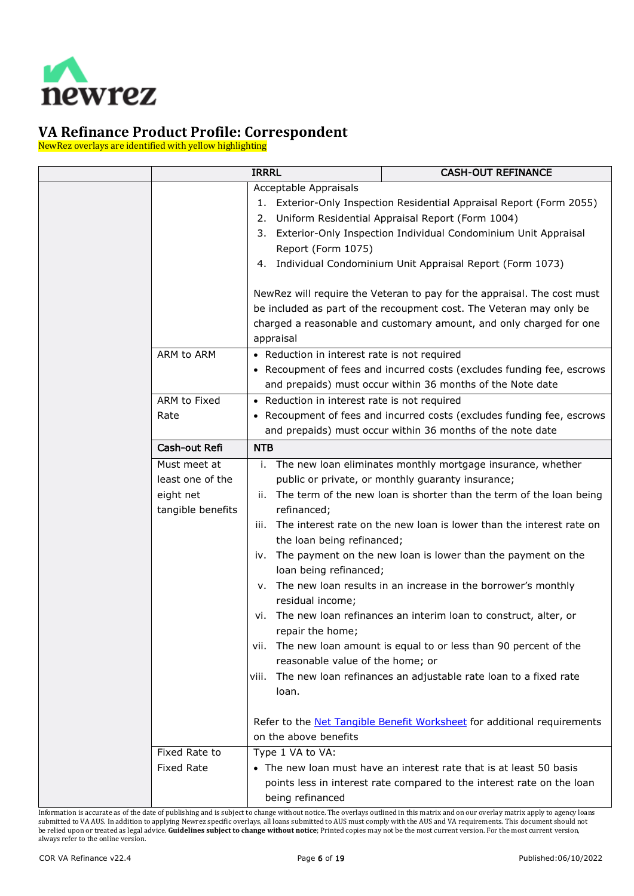

NewRez overlays are identified with yellow highlighting

|                   | <b>IRRRL</b>                                 | <b>CASH-OUT REFINANCE</b>                                                      |
|-------------------|----------------------------------------------|--------------------------------------------------------------------------------|
|                   | Acceptable Appraisals                        |                                                                                |
|                   |                                              | 1. Exterior-Only Inspection Residential Appraisal Report (Form 2055)           |
|                   |                                              | 2. Uniform Residential Appraisal Report (Form 1004)                            |
|                   |                                              | 3. Exterior-Only Inspection Individual Condominium Unit Appraisal              |
|                   | Report (Form 1075)                           |                                                                                |
|                   |                                              | 4. Individual Condominium Unit Appraisal Report (Form 1073)                    |
|                   |                                              |                                                                                |
|                   |                                              | NewRez will require the Veteran to pay for the appraisal. The cost must        |
|                   |                                              | be included as part of the recoupment cost. The Veteran may only be            |
|                   |                                              | charged a reasonable and customary amount, and only charged for one            |
|                   | appraisal                                    |                                                                                |
| ARM to ARM        | • Reduction in interest rate is not required |                                                                                |
|                   |                                              | • Recoupment of fees and incurred costs (excludes funding fee, escrows         |
|                   |                                              | and prepaids) must occur within 36 months of the Note date                     |
| ARM to Fixed      | • Reduction in interest rate is not required |                                                                                |
| Rate              |                                              | • Recoupment of fees and incurred costs (excludes funding fee, escrows         |
|                   |                                              | and prepaids) must occur within 36 months of the note date                     |
| Cash-out Refi     | <b>NTB</b>                                   |                                                                                |
| Must meet at      |                                              | i. The new loan eliminates monthly mortgage insurance, whether                 |
| least one of the  |                                              | public or private, or monthly guaranty insurance;                              |
| eight net         |                                              | ii. The term of the new loan is shorter than the term of the loan being        |
| tangible benefits | refinanced;                                  |                                                                                |
|                   | iii.                                         | The interest rate on the new loan is lower than the interest rate on           |
|                   | the loan being refinanced;                   |                                                                                |
|                   |                                              | iv. The payment on the new loan is lower than the payment on the               |
|                   | loan being refinanced;                       |                                                                                |
|                   |                                              | v. The new loan results in an increase in the borrower's monthly               |
|                   | residual income;                             |                                                                                |
|                   | vi.                                          | The new loan refinances an interim loan to construct, alter, or                |
|                   | repair the home;                             |                                                                                |
|                   |                                              | vii. The new loan amount is equal to or less than 90 percent of the            |
|                   | reasonable value of the home; or             |                                                                                |
|                   |                                              | viii. The new loan refinances an adjustable rate loan to a fixed rate          |
|                   | loan.                                        |                                                                                |
|                   |                                              |                                                                                |
|                   |                                              | Refer to the <b>Net Tangible Benefit Worksheet</b> for additional requirements |
|                   | on the above benefits                        |                                                                                |
| Fixed Rate to     | Type 1 VA to VA:                             |                                                                                |
| <b>Fixed Rate</b> |                                              | • The new loan must have an interest rate that is at least 50 basis            |
|                   |                                              | points less in interest rate compared to the interest rate on the loan         |
|                   | being refinanced                             |                                                                                |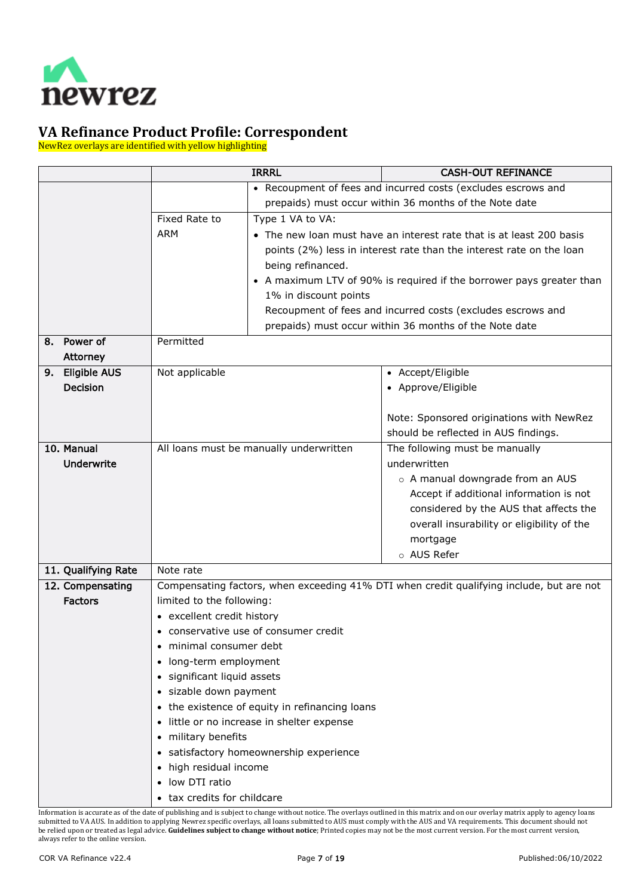

NewRez overlays are identified with yellow highlighting

<span id="page-6-4"></span><span id="page-6-3"></span><span id="page-6-2"></span><span id="page-6-1"></span><span id="page-6-0"></span>

|                           |                                   | <b>IRRRL</b>                                                              | <b>CASH-OUT REFINANCE</b>                                                                |  |  |  |
|---------------------------|-----------------------------------|---------------------------------------------------------------------------|------------------------------------------------------------------------------------------|--|--|--|
|                           |                                   |                                                                           | • Recoupment of fees and incurred costs (excludes escrows and                            |  |  |  |
|                           |                                   |                                                                           | prepaids) must occur within 36 months of the Note date                                   |  |  |  |
|                           | Fixed Rate to                     | Type 1 VA to VA:                                                          |                                                                                          |  |  |  |
|                           | <b>ARM</b>                        |                                                                           | • The new loan must have an interest rate that is at least 200 basis                     |  |  |  |
|                           |                                   |                                                                           | points (2%) less in interest rate than the interest rate on the loan                     |  |  |  |
|                           |                                   | being refinanced.                                                         |                                                                                          |  |  |  |
|                           |                                   |                                                                           | • A maximum LTV of 90% is required if the borrower pays greater than                     |  |  |  |
|                           |                                   | 1% in discount points                                                     |                                                                                          |  |  |  |
|                           |                                   |                                                                           | Recoupment of fees and incurred costs (excludes escrows and                              |  |  |  |
|                           |                                   |                                                                           | prepaids) must occur within 36 months of the Note date                                   |  |  |  |
| Power of<br>8.            | Permitted                         |                                                                           |                                                                                          |  |  |  |
| <b>Attorney</b>           |                                   |                                                                           |                                                                                          |  |  |  |
| <b>Eligible AUS</b><br>9. | Not applicable                    |                                                                           | • Accept/Eligible                                                                        |  |  |  |
| <b>Decision</b>           |                                   |                                                                           | • Approve/Eligible                                                                       |  |  |  |
|                           |                                   |                                                                           |                                                                                          |  |  |  |
|                           |                                   | Note: Sponsored originations with NewRez                                  |                                                                                          |  |  |  |
|                           |                                   | should be reflected in AUS findings.                                      |                                                                                          |  |  |  |
| 10. Manual                |                                   | All loans must be manually underwritten<br>The following must be manually |                                                                                          |  |  |  |
| <b>Underwrite</b>         |                                   | underwritten                                                              |                                                                                          |  |  |  |
|                           |                                   |                                                                           | o A manual downgrade from an AUS                                                         |  |  |  |
|                           |                                   | Accept if additional information is not                                   |                                                                                          |  |  |  |
|                           |                                   | considered by the AUS that affects the                                    |                                                                                          |  |  |  |
|                           |                                   | overall insurability or eligibility of the                                |                                                                                          |  |  |  |
|                           |                                   |                                                                           | mortgage                                                                                 |  |  |  |
|                           |                                   |                                                                           | o AUS Refer                                                                              |  |  |  |
| 11. Qualifying Rate       | Note rate                         |                                                                           |                                                                                          |  |  |  |
| 12. Compensating          |                                   |                                                                           | Compensating factors, when exceeding 41% DTI when credit qualifying include, but are not |  |  |  |
| <b>Factors</b>            | limited to the following:         |                                                                           |                                                                                          |  |  |  |
|                           | • excellent credit history        |                                                                           |                                                                                          |  |  |  |
|                           |                                   | • conservative use of consumer credit                                     |                                                                                          |  |  |  |
|                           | • minimal consumer debt           |                                                                           |                                                                                          |  |  |  |
|                           | long-term employment              |                                                                           |                                                                                          |  |  |  |
|                           | · significant liquid assets       |                                                                           |                                                                                          |  |  |  |
|                           | · sizable down payment            |                                                                           |                                                                                          |  |  |  |
|                           |                                   | • the existence of equity in refinancing loans                            |                                                                                          |  |  |  |
|                           |                                   | little or no increase in shelter expense                                  |                                                                                          |  |  |  |
|                           | • military benefits               |                                                                           |                                                                                          |  |  |  |
|                           |                                   | • satisfactory homeownership experience                                   |                                                                                          |  |  |  |
|                           | high residual income<br>$\bullet$ |                                                                           |                                                                                          |  |  |  |
|                           | low DTI ratio                     |                                                                           |                                                                                          |  |  |  |
|                           | • tax credits for childcare       |                                                                           |                                                                                          |  |  |  |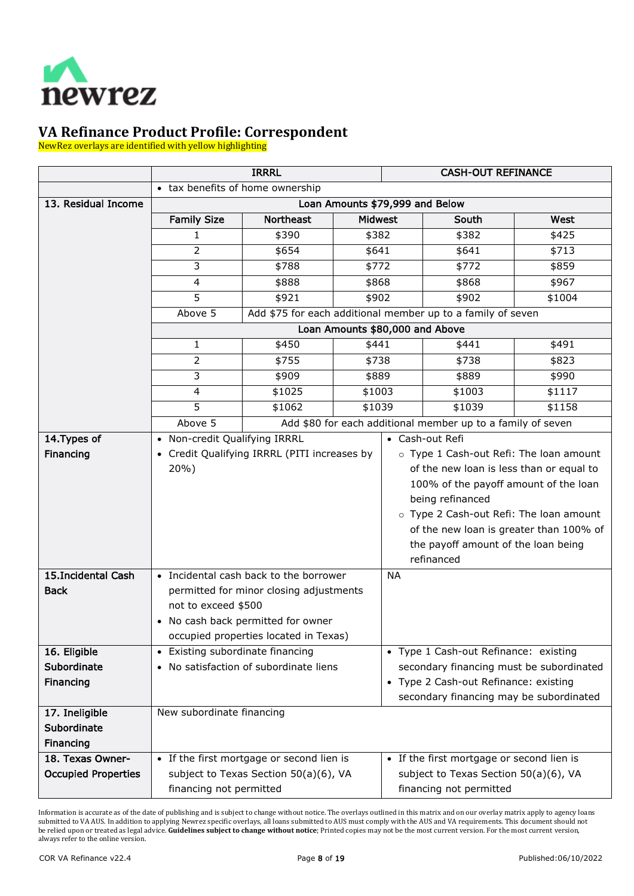

NewRez overlays are identified with yellow highlighting

<span id="page-7-5"></span><span id="page-7-4"></span><span id="page-7-3"></span><span id="page-7-2"></span><span id="page-7-1"></span><span id="page-7-0"></span>

|                            | <b>IRRRL</b>                     |                                              | <b>CASH-OUT REFINANCE</b>       |                                          |                                                             |                                         |
|----------------------------|----------------------------------|----------------------------------------------|---------------------------------|------------------------------------------|-------------------------------------------------------------|-----------------------------------------|
|                            | • tax benefits of home ownership |                                              |                                 |                                          |                                                             |                                         |
| 13. Residual Income        |                                  | Loan Amounts \$79,999 and Below              |                                 |                                          |                                                             |                                         |
|                            | <b>Family Size</b>               | <b>Northeast</b>                             | <b>Midwest</b>                  |                                          | South                                                       | West                                    |
|                            | 1                                | \$390                                        | \$382                           |                                          | \$382                                                       | \$425                                   |
|                            | 2                                | \$654                                        | \$641                           |                                          | \$641                                                       | \$713                                   |
|                            | 3                                | \$788                                        | \$772                           |                                          | \$772                                                       | \$859                                   |
|                            | 4                                | \$888                                        | \$868                           |                                          | \$868                                                       | \$967                                   |
|                            | 5                                | \$921                                        | \$902                           |                                          | \$902                                                       | \$1004                                  |
|                            | Above 5                          |                                              |                                 |                                          | Add \$75 for each additional member up to a family of seven |                                         |
|                            |                                  |                                              | Loan Amounts \$80,000 and Above |                                          |                                                             |                                         |
|                            | 1                                | \$450                                        | \$441                           |                                          | \$441                                                       | \$491                                   |
|                            | $\overline{2}$                   | \$755                                        | \$738                           |                                          | \$738                                                       | \$823                                   |
|                            | 3                                | \$909                                        | \$889                           |                                          | \$889                                                       | \$990                                   |
|                            | 4                                | \$1025                                       | \$1003                          |                                          | \$1003                                                      | \$1117                                  |
|                            | 5                                | \$1062                                       | \$1039                          |                                          | \$1039                                                      | \$1158                                  |
|                            | Above 5                          |                                              |                                 |                                          | Add \$80 for each additional member up to a family of seven |                                         |
| 14. Types of               | • Non-credit Qualifying IRRRL    |                                              |                                 |                                          | • Cash-out Refi                                             |                                         |
| Financing                  |                                  | • Credit Qualifying IRRRL (PITI increases by |                                 |                                          | o Type 1 Cash-out Refi: The loan amount                     |                                         |
|                            | 20%)                             |                                              |                                 |                                          | of the new loan is less than or equal to                    |                                         |
|                            |                                  |                                              |                                 | 100% of the payoff amount of the loan    |                                                             |                                         |
|                            |                                  |                                              |                                 |                                          | being refinanced                                            |                                         |
|                            |                                  |                                              |                                 |                                          | o Type 2 Cash-out Refi: The loan amount                     |                                         |
|                            |                                  |                                              |                                 |                                          |                                                             | of the new loan is greater than 100% of |
|                            |                                  |                                              |                                 |                                          | the payoff amount of the loan being                         |                                         |
|                            |                                  |                                              |                                 |                                          | refinanced                                                  |                                         |
| 15.Incidental Cash         |                                  | • Incidental cash back to the borrower       |                                 | <b>NA</b>                                |                                                             |                                         |
| <b>Back</b>                |                                  | permitted for minor closing adjustments      |                                 |                                          |                                                             |                                         |
|                            | not to exceed \$500              |                                              |                                 |                                          |                                                             |                                         |
|                            |                                  | • No cash back permitted for owner           |                                 |                                          |                                                             |                                         |
|                            |                                  | occupied properties located in Texas)        |                                 |                                          |                                                             |                                         |
| 16. Eligible               | • Existing subordinate financing |                                              |                                 |                                          | • Type 1 Cash-out Refinance: existing                       |                                         |
| Subordinate                |                                  | • No satisfaction of subordinate liens       |                                 | secondary financing must be subordinated |                                                             |                                         |
| Financing                  |                                  |                                              |                                 |                                          | • Type 2 Cash-out Refinance: existing                       |                                         |
|                            |                                  |                                              |                                 |                                          | secondary financing may be subordinated                     |                                         |
| 17. Ineligible             | New subordinate financing        |                                              |                                 |                                          |                                                             |                                         |
| Subordinate                |                                  |                                              |                                 |                                          |                                                             |                                         |
| Financing                  |                                  |                                              |                                 |                                          |                                                             |                                         |
| 18. Texas Owner-           |                                  | • If the first mortgage or second lien is    |                                 |                                          | • If the first mortgage or second lien is                   |                                         |
| <b>Occupied Properties</b> |                                  | subject to Texas Section 50(a)(6), VA        |                                 |                                          | subject to Texas Section 50(a)(6), VA                       |                                         |
|                            | financing not permitted          |                                              |                                 | financing not permitted                  |                                                             |                                         |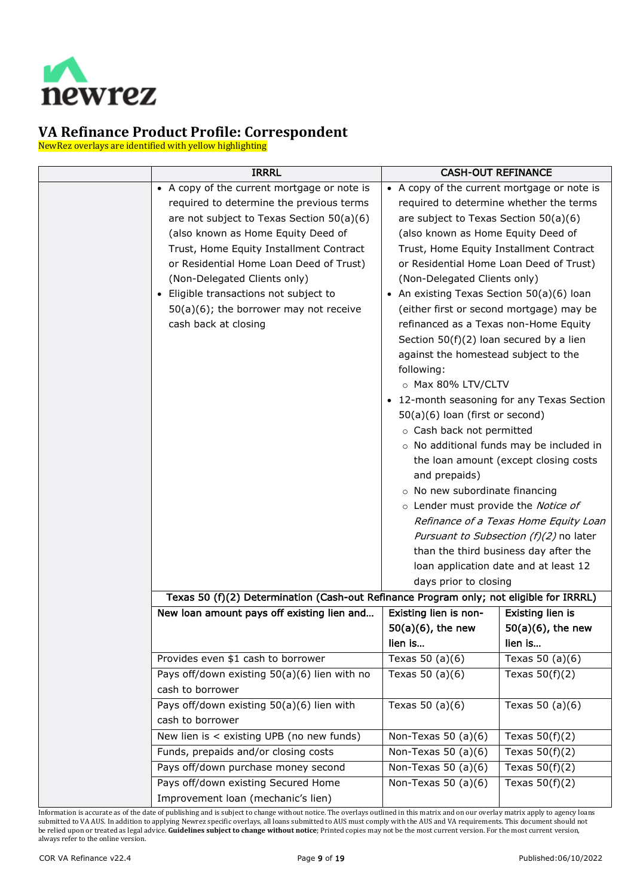

NewRez overlays are identified with yellow highlighting

| <b>IRRRL</b>                                                                                                                                                                                                                                                                                                                                                                                                    | <b>CASH-OUT REFINANCE</b>                                                                                                                                                                                                                                                                                                                                                                                                                                                                                                                                                                                                                                          |                                                                                                                                                                                                                                                                                                                                                |
|-----------------------------------------------------------------------------------------------------------------------------------------------------------------------------------------------------------------------------------------------------------------------------------------------------------------------------------------------------------------------------------------------------------------|--------------------------------------------------------------------------------------------------------------------------------------------------------------------------------------------------------------------------------------------------------------------------------------------------------------------------------------------------------------------------------------------------------------------------------------------------------------------------------------------------------------------------------------------------------------------------------------------------------------------------------------------------------------------|------------------------------------------------------------------------------------------------------------------------------------------------------------------------------------------------------------------------------------------------------------------------------------------------------------------------------------------------|
| • A copy of the current mortgage or note is<br>required to determine the previous terms<br>are not subject to Texas Section 50(a)(6)<br>(also known as Home Equity Deed of<br>Trust, Home Equity Installment Contract<br>or Residential Home Loan Deed of Trust)<br>(Non-Delegated Clients only)<br>• Eligible transactions not subject to<br>$50(a)(6)$ ; the borrower may not receive<br>cash back at closing | • A copy of the current mortgage or note is<br>required to determine whether the terms<br>are subject to Texas Section 50(a)(6)<br>(also known as Home Equity Deed of<br>Trust, Home Equity Installment Contract<br>or Residential Home Loan Deed of Trust)<br>(Non-Delegated Clients only)<br>An existing Texas Section 50(a)(6) loan<br>refinanced as a Texas non-Home Equity<br>Section $50(f)(2)$ loan secured by a lien<br>against the homestead subject to the<br>following:<br>o Max 80% LTV/CLTV<br>50(a)(6) loan (first or second)<br>o Cash back not permitted<br>and prepaids)<br>o No new subordinate financing<br>o Lender must provide the Notice of | (either first or second mortgage) may be<br>12-month seasoning for any Texas Section<br>o No additional funds may be included in<br>the loan amount (except closing costs<br>Refinance of a Texas Home Equity Loan<br>Pursuant to Subsection (f)(2) no later<br>than the third business day after the<br>loan application date and at least 12 |
| Texas 50 (f)(2) Determination (Cash-out Refinance Program only; not eligible for IRRRL)                                                                                                                                                                                                                                                                                                                         | days prior to closing                                                                                                                                                                                                                                                                                                                                                                                                                                                                                                                                                                                                                                              |                                                                                                                                                                                                                                                                                                                                                |
| New loan amount pays off existing lien and                                                                                                                                                                                                                                                                                                                                                                      | Existing lien is non-<br>$50(a)(6)$ , the new<br>lien is                                                                                                                                                                                                                                                                                                                                                                                                                                                                                                                                                                                                           | <b>Existing lien is</b><br>$50(a)(6)$ , the new<br>lien is                                                                                                                                                                                                                                                                                     |
| Provides even \$1 cash to borrower                                                                                                                                                                                                                                                                                                                                                                              | Texas $50$ (a)(6)                                                                                                                                                                                                                                                                                                                                                                                                                                                                                                                                                                                                                                                  | Texas $50$ (a)(6)                                                                                                                                                                                                                                                                                                                              |
| Pays off/down existing 50(a)(6) lien with no<br>cash to borrower                                                                                                                                                                                                                                                                                                                                                | Texas $50$ (a)(6)                                                                                                                                                                                                                                                                                                                                                                                                                                                                                                                                                                                                                                                  | Texas $50(f)(2)$                                                                                                                                                                                                                                                                                                                               |
| Pays off/down existing 50(a)(6) lien with<br>cash to borrower                                                                                                                                                                                                                                                                                                                                                   | Texas $50$ (a)(6)                                                                                                                                                                                                                                                                                                                                                                                                                                                                                                                                                                                                                                                  | Texas $50 (a)(6)$                                                                                                                                                                                                                                                                                                                              |
| New lien is < existing UPB (no new funds)                                                                                                                                                                                                                                                                                                                                                                       | Non-Texas 50 $(a)(6)$                                                                                                                                                                                                                                                                                                                                                                                                                                                                                                                                                                                                                                              | Texas $50(f)(2)$                                                                                                                                                                                                                                                                                                                               |
| Funds, prepaids and/or closing costs                                                                                                                                                                                                                                                                                                                                                                            | Non-Texas 50 $(a)(6)$                                                                                                                                                                                                                                                                                                                                                                                                                                                                                                                                                                                                                                              | Texas $50(f)(2)$                                                                                                                                                                                                                                                                                                                               |
| Pays off/down purchase money second                                                                                                                                                                                                                                                                                                                                                                             | Non-Texas 50 $(a)(6)$                                                                                                                                                                                                                                                                                                                                                                                                                                                                                                                                                                                                                                              | Texas $50(f)(2)$                                                                                                                                                                                                                                                                                                                               |
| Pays off/down existing Secured Home<br>Improvement loan (mechanic's lien)                                                                                                                                                                                                                                                                                                                                       | Non-Texas 50 $(a)(6)$                                                                                                                                                                                                                                                                                                                                                                                                                                                                                                                                                                                                                                              | Texas $50(f)(2)$                                                                                                                                                                                                                                                                                                                               |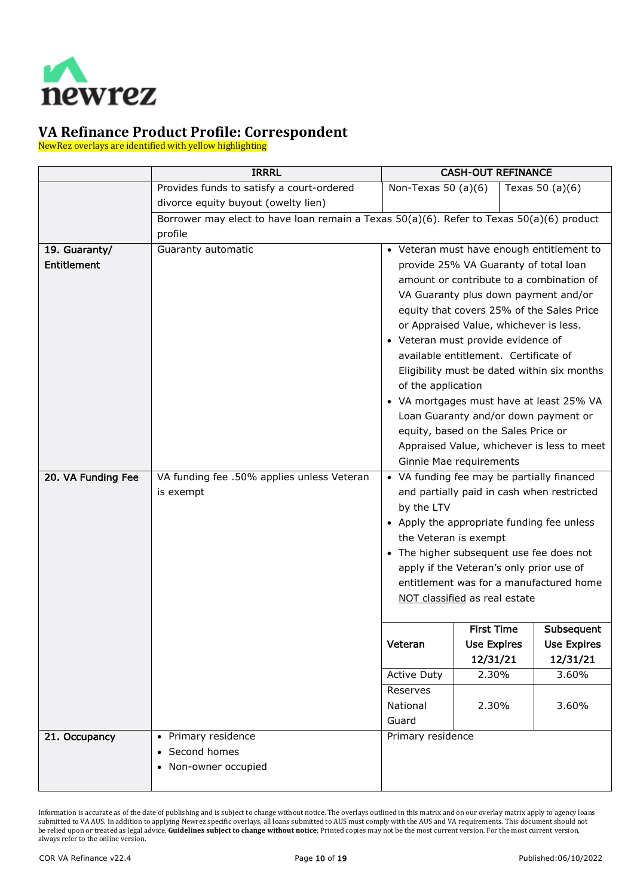

NewRez overlays are identified with yellow highlighting

<span id="page-9-2"></span><span id="page-9-1"></span><span id="page-9-0"></span>

|                    | <b>IRRRL</b>                                                                             |                                                                   | <b>CASH-OUT REFINANCE</b> |                                             |
|--------------------|------------------------------------------------------------------------------------------|-------------------------------------------------------------------|---------------------------|---------------------------------------------|
|                    | Provides funds to satisfy a court-ordered                                                | Non-Texas 50 $(a)(6)$                                             |                           | Texas $50$ (a)(6)                           |
|                    | divorce equity buyout (owelty lien)                                                      |                                                                   |                           |                                             |
|                    | Borrower may elect to have loan remain a Texas 50(a)(6). Refer to Texas 50(a)(6) product |                                                                   |                           |                                             |
|                    | profile                                                                                  |                                                                   |                           |                                             |
| 19. Guaranty/      | Guaranty automatic                                                                       | • Veteran must have enough entitlement to                         |                           |                                             |
| <b>Entitlement</b> |                                                                                          | provide 25% VA Guaranty of total loan                             |                           |                                             |
|                    |                                                                                          |                                                                   |                           | amount or contribute to a combination of    |
|                    |                                                                                          |                                                                   |                           | VA Guaranty plus down payment and/or        |
|                    |                                                                                          |                                                                   |                           | equity that covers 25% of the Sales Price   |
|                    |                                                                                          | or Appraised Value, whichever is less.                            |                           |                                             |
|                    |                                                                                          | • Veteran must provide evidence of                                |                           |                                             |
|                    |                                                                                          | available entitlement. Certificate of                             |                           |                                             |
|                    |                                                                                          |                                                                   |                           | Eligibility must be dated within six months |
|                    |                                                                                          | of the application                                                |                           |                                             |
|                    |                                                                                          |                                                                   |                           | • VA mortgages must have at least 25% VA    |
|                    |                                                                                          |                                                                   |                           | Loan Guaranty and/or down payment or        |
|                    |                                                                                          | equity, based on the Sales Price or                               |                           |                                             |
|                    |                                                                                          |                                                                   |                           | Appraised Value, whichever is less to meet  |
|                    |                                                                                          | Ginnie Mae requirements                                           |                           |                                             |
| 20. VA Funding Fee | VA funding fee .50% applies unless Veteran                                               | • VA funding fee may be partially financed                        |                           |                                             |
|                    | is exempt                                                                                |                                                                   |                           | and partially paid in cash when restricted  |
|                    |                                                                                          | by the LTV                                                        |                           |                                             |
|                    |                                                                                          | • Apply the appropriate funding fee unless                        |                           |                                             |
|                    |                                                                                          | the Veteran is exempt<br>• The higher subsequent use fee does not |                           |                                             |
|                    |                                                                                          | apply if the Veteran's only prior use of                          |                           |                                             |
|                    |                                                                                          |                                                                   |                           | entitlement was for a manufactured home     |
|                    |                                                                                          | NOT classified as real estate                                     |                           |                                             |
|                    |                                                                                          |                                                                   |                           |                                             |
|                    |                                                                                          |                                                                   | <b>First Time</b>         | Subsequent                                  |
|                    |                                                                                          | Veteran                                                           | <b>Use Expires</b>        | <b>Use Expires</b>                          |
|                    |                                                                                          |                                                                   | 12/31/21                  | 12/31/21                                    |
|                    |                                                                                          | <b>Active Duty</b>                                                | 2.30%                     | 3.60%                                       |
|                    |                                                                                          | Reserves                                                          |                           |                                             |
|                    |                                                                                          | National                                                          | 2.30%                     | 3.60%                                       |
|                    |                                                                                          | Guard                                                             |                           |                                             |
| 21. Occupancy      | • Primary residence                                                                      | Primary residence                                                 |                           |                                             |
|                    | Second homes                                                                             |                                                                   |                           |                                             |
|                    | Non-owner occupied                                                                       |                                                                   |                           |                                             |
|                    |                                                                                          |                                                                   |                           |                                             |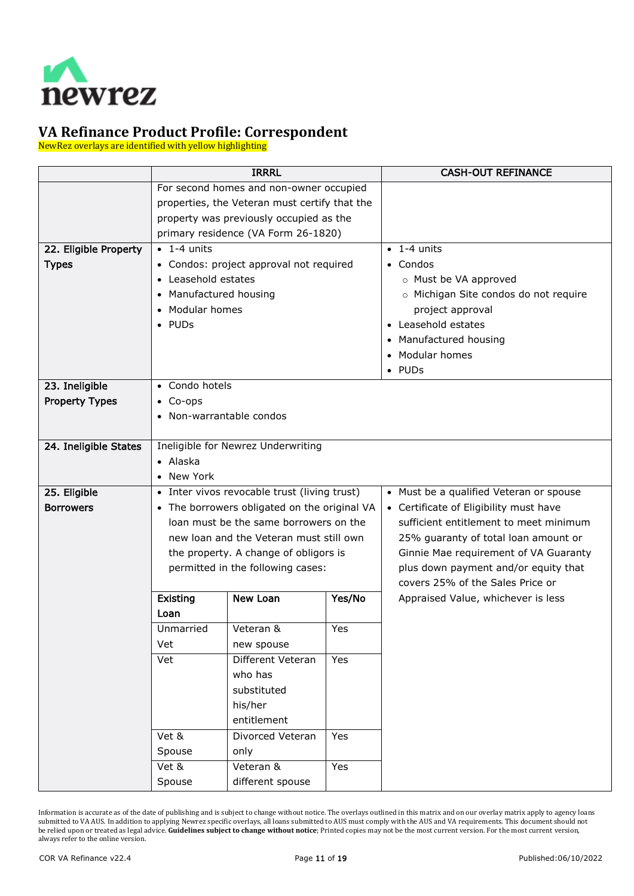

NewRez overlays are identified with yellow highlighting

<span id="page-10-3"></span><span id="page-10-2"></span><span id="page-10-1"></span><span id="page-10-0"></span>

|                       | <b>IRRRL</b>             |                                               |            | <b>CASH-OUT REFINANCE</b>               |
|-----------------------|--------------------------|-----------------------------------------------|------------|-----------------------------------------|
|                       |                          | For second homes and non-owner occupied       |            |                                         |
|                       |                          | properties, the Veteran must certify that the |            |                                         |
|                       |                          | property was previously occupied as the       |            |                                         |
|                       |                          | primary residence (VA Form 26-1820)           |            |                                         |
| 22. Eligible Property | $\bullet$ 1-4 units      |                                               |            | $\bullet$ 1-4 units                     |
| <b>Types</b>          |                          | • Condos: project approval not required       |            | • Condos                                |
|                       | • Leasehold estates      |                                               |            | o Must be VA approved                   |
|                       | • Manufactured housing   |                                               |            | o Michigan Site condos do not require   |
|                       | • Modular homes          |                                               |            | project approval                        |
|                       | $\bullet$ PUDs           |                                               |            | • Leasehold estates                     |
|                       |                          |                                               |            | Manufactured housing                    |
|                       |                          |                                               |            | Modular homes                           |
|                       |                          |                                               |            | $\bullet$ PUDs                          |
| 23. Ineligible        | • Condo hotels           |                                               |            |                                         |
| <b>Property Types</b> | $\bullet$ Co-ops         |                                               |            |                                         |
|                       | • Non-warrantable condos |                                               |            |                                         |
|                       |                          |                                               |            |                                         |
| 24. Ineligible States |                          | Ineligible for Newrez Underwriting            |            |                                         |
|                       | $\bullet$ Alaska         |                                               |            |                                         |
|                       | • New York               |                                               |            |                                         |
| 25. Eligible          |                          | • Inter vivos revocable trust (living trust)  |            | • Must be a qualified Veteran or spouse |
| <b>Borrowers</b>      |                          | • The borrowers obligated on the original VA  |            | • Certificate of Eligibility must have  |
|                       |                          | loan must be the same borrowers on the        |            | sufficient entitlement to meet minimum  |
|                       |                          | new loan and the Veteran must still own       |            | 25% guaranty of total loan amount or    |
|                       |                          | the property. A change of obligors is         |            | Ginnie Mae requirement of VA Guaranty   |
|                       |                          | permitted in the following cases:             |            | plus down payment and/or equity that    |
|                       |                          |                                               |            | covers 25% of the Sales Price or        |
|                       | Existing                 | New Loan                                      | Yes/No     | Appraised Value, whichever is less      |
|                       | Loan                     |                                               |            |                                         |
|                       | Unmarried                | Veteran &                                     | Yes        |                                         |
|                       | Vet                      | new spouse                                    |            |                                         |
|                       | Vet                      | Different Veteran                             | Yes        |                                         |
|                       |                          | who has<br>substituted                        |            |                                         |
|                       |                          | his/her                                       |            |                                         |
|                       |                          | entitlement                                   |            |                                         |
|                       | Vet &                    | Divorced Veteran                              | <b>Yes</b> |                                         |
|                       |                          |                                               |            |                                         |
|                       | Spouse                   | only<br>Veteran &                             |            |                                         |
|                       | Vet &                    |                                               | Yes        |                                         |
|                       | Spouse                   | different spouse                              |            |                                         |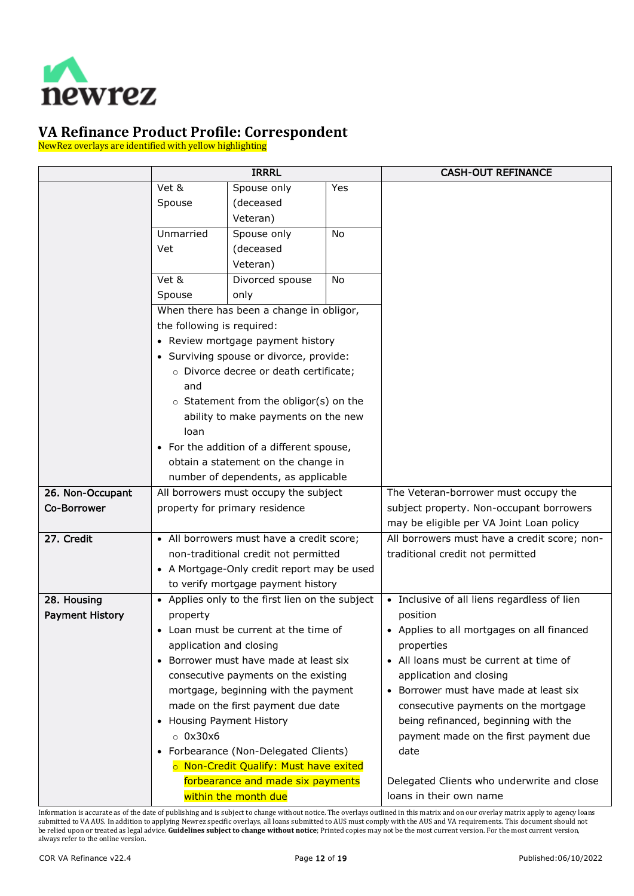

NewRez overlays are identified with yellow highlighting

<span id="page-11-2"></span><span id="page-11-1"></span><span id="page-11-0"></span>

|                        | <b>IRRRL</b>               |                                                 |           | <b>CASH-OUT REFINANCE</b>                         |
|------------------------|----------------------------|-------------------------------------------------|-----------|---------------------------------------------------|
|                        | Vet &                      | Spouse only                                     | Yes       |                                                   |
|                        | Spouse                     | (deceased                                       |           |                                                   |
|                        |                            | Veteran)                                        |           |                                                   |
|                        | Unmarried                  | Spouse only                                     | <b>No</b> |                                                   |
|                        | Vet                        | (deceased                                       |           |                                                   |
|                        |                            | Veteran)                                        |           |                                                   |
|                        | Vet &                      | Divorced spouse                                 | No        |                                                   |
|                        | Spouse                     | only                                            |           |                                                   |
|                        |                            | When there has been a change in obligor,        |           |                                                   |
|                        | the following is required: |                                                 |           |                                                   |
|                        |                            | • Review mortgage payment history               |           |                                                   |
|                        |                            | • Surviving spouse or divorce, provide:         |           |                                                   |
|                        |                            | o Divorce decree or death certificate;          |           |                                                   |
|                        | and                        |                                                 |           |                                                   |
|                        |                            | o Statement from the obligor(s) on the          |           |                                                   |
|                        |                            | ability to make payments on the new             |           |                                                   |
|                        | loan                       |                                                 |           |                                                   |
|                        |                            | • For the addition of a different spouse,       |           |                                                   |
|                        |                            | obtain a statement on the change in             |           |                                                   |
|                        |                            | number of dependents, as applicable             |           |                                                   |
| 26. Non-Occupant       |                            | All borrowers must occupy the subject           |           | The Veteran-borrower must occupy the              |
| Co-Borrower            |                            | property for primary residence                  |           | subject property. Non-occupant borrowers          |
|                        |                            |                                                 |           | may be eligible per VA Joint Loan policy          |
| 27. Credit             |                            | • All borrowers must have a credit score;       |           | All borrowers must have a credit score; non-      |
|                        |                            | non-traditional credit not permitted            |           | traditional credit not permitted                  |
|                        |                            | • A Mortgage-Only credit report may be used     |           |                                                   |
|                        |                            | to verify mortgage payment history              |           |                                                   |
| 28. Housing            |                            | • Applies only to the first lien on the subject |           | • Inclusive of all liens regardless of lien       |
| <b>Payment History</b> | property                   |                                                 |           | position                                          |
|                        |                            | • Loan must be current at the time of           |           | • Applies to all mortgages on all financed        |
|                        | application and closing    |                                                 |           | properties                                        |
|                        |                            | • Borrower must have made at least six          |           | All loans must be current at time of<br>$\bullet$ |
|                        |                            | consecutive payments on the existing            |           | application and closing                           |
|                        |                            | mortgage, beginning with the payment            |           | • Borrower must have made at least six            |
|                        |                            | made on the first payment due date              |           | consecutive payments on the mortgage              |
|                        | • Housing Payment History  |                                                 |           | being refinanced, beginning with the              |
|                        | $\circ$ 0x30x6             |                                                 |           | payment made on the first payment due             |
|                        |                            | • Forbearance (Non-Delegated Clients)           |           | date                                              |
|                        |                            | o Non-Credit Qualify: Must have exited          |           |                                                   |
|                        |                            | forbearance and made six payments               |           | Delegated Clients who underwrite and close        |
|                        |                            | within the month due                            |           | loans in their own name                           |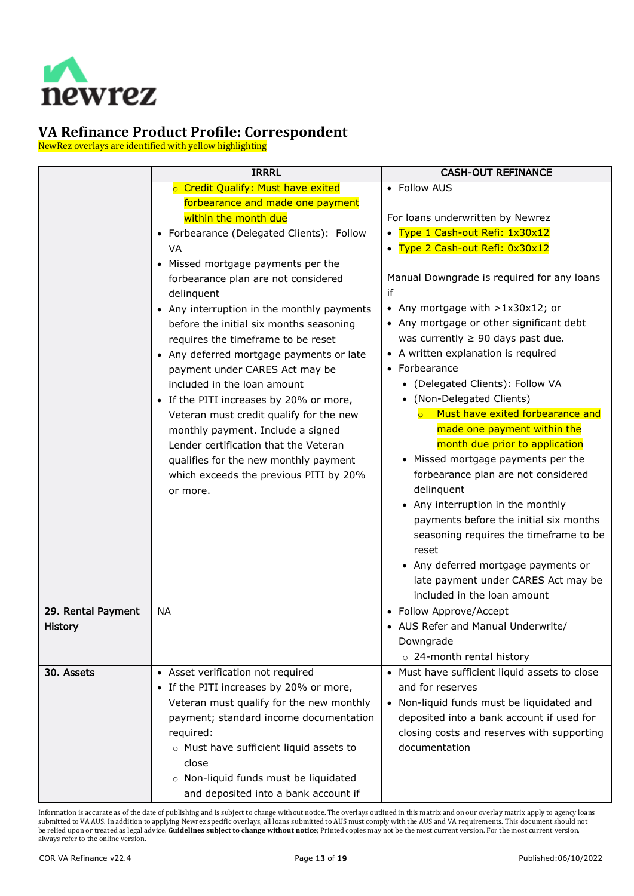

NewRez overlays are identified with yellow highlighting

<span id="page-12-1"></span><span id="page-12-0"></span>

|                    | <b>IRRRL</b>                               | <b>CASH-OUT REFINANCE</b>                                |
|--------------------|--------------------------------------------|----------------------------------------------------------|
|                    | o Credit Qualify: Must have exited         | • Follow AUS                                             |
|                    | forbearance and made one payment           |                                                          |
|                    | within the month due                       | For loans underwritten by Newrez                         |
|                    | • Forbearance (Delegated Clients): Follow  | Type 1 Cash-out Refi: 1x30x12                            |
|                    | VA                                         | Type 2 Cash-out Refi: 0x30x12                            |
|                    | • Missed mortgage payments per the         |                                                          |
|                    | forbearance plan are not considered        | Manual Downgrade is required for any loans               |
|                    | delinquent                                 | if                                                       |
|                    | • Any interruption in the monthly payments | Any mortgage with $>1x30x12$ ; or                        |
|                    | before the initial six months seasoning    | • Any mortgage or other significant debt                 |
|                    | requires the timeframe to be reset         | was currently $\geq 90$ days past due.                   |
|                    | • Any deferred mortgage payments or late   | A written explanation is required                        |
|                    | payment under CARES Act may be             | Forbearance<br>$\bullet$                                 |
|                    | included in the loan amount                | (Delegated Clients): Follow VA                           |
|                    | • If the PITI increases by 20% or more,    | (Non-Delegated Clients)                                  |
|                    | Veteran must credit qualify for the new    | Must have exited forbearance and<br>$\circ$              |
|                    | monthly payment. Include a signed          | made one payment within the                              |
|                    | Lender certification that the Veteran      | month due prior to application                           |
|                    | qualifies for the new monthly payment      | Missed mortgage payments per the                         |
|                    | which exceeds the previous PITI by 20%     | forbearance plan are not considered                      |
|                    | or more.                                   | delinquent                                               |
|                    |                                            | Any interruption in the monthly                          |
|                    |                                            | payments before the initial six months                   |
|                    |                                            | seasoning requires the timeframe to be                   |
|                    |                                            | reset                                                    |
|                    |                                            | Any deferred mortgage payments or                        |
|                    |                                            | late payment under CARES Act may be                      |
|                    |                                            | included in the loan amount                              |
| 29. Rental Payment | <b>NA</b>                                  | • Follow Approve/Accept                                  |
| <b>History</b>     |                                            | • AUS Refer and Manual Underwrite/                       |
|                    |                                            | Downgrade                                                |
|                    |                                            | o 24-month rental history                                |
| 30. Assets         | • Asset verification not required          | Must have sufficient liquid assets to close<br>$\bullet$ |
|                    | • If the PITI increases by 20% or more,    | and for reserves                                         |
|                    | Veteran must qualify for the new monthly   | Non-liquid funds must be liquidated and                  |
|                    | payment; standard income documentation     | deposited into a bank account if used for                |
|                    | required:                                  | closing costs and reserves with supporting               |
|                    | o Must have sufficient liquid assets to    | documentation                                            |
|                    | close                                      |                                                          |
|                    | o Non-liquid funds must be liquidated      |                                                          |
|                    | and deposited into a bank account if       |                                                          |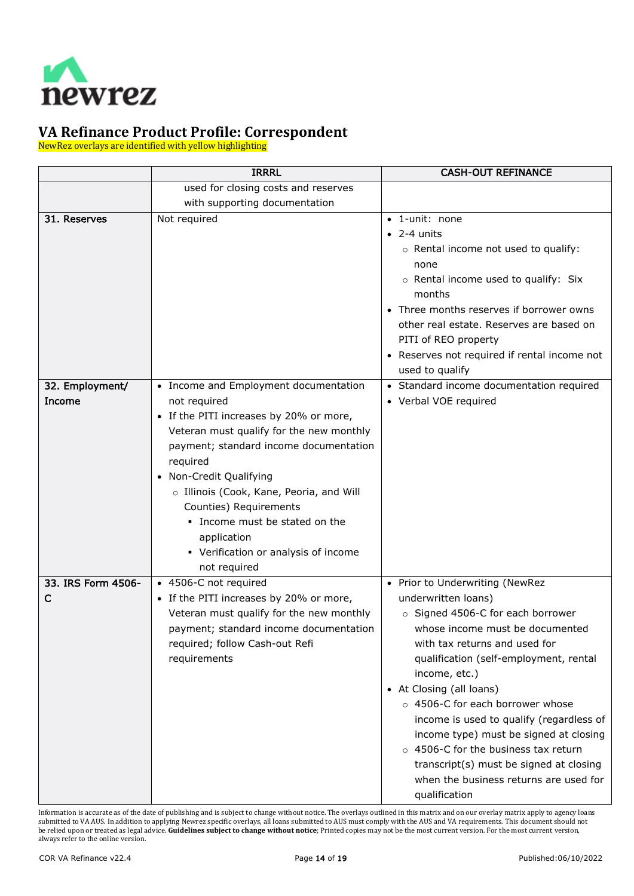

NewRez overlays are identified with yellow highlighting

<span id="page-13-2"></span><span id="page-13-1"></span><span id="page-13-0"></span>

|                           | <b>IRRRL</b>                                                                                                                                                                                                                                                                                                                                       | <b>CASH-OUT REFINANCE</b>                                                                                                                                                                                                                                                                                                                                                                                                                                                                                                               |
|---------------------------|----------------------------------------------------------------------------------------------------------------------------------------------------------------------------------------------------------------------------------------------------------------------------------------------------------------------------------------------------|-----------------------------------------------------------------------------------------------------------------------------------------------------------------------------------------------------------------------------------------------------------------------------------------------------------------------------------------------------------------------------------------------------------------------------------------------------------------------------------------------------------------------------------------|
|                           | used for closing costs and reserves                                                                                                                                                                                                                                                                                                                |                                                                                                                                                                                                                                                                                                                                                                                                                                                                                                                                         |
|                           | with supporting documentation                                                                                                                                                                                                                                                                                                                      |                                                                                                                                                                                                                                                                                                                                                                                                                                                                                                                                         |
| 31. Reserves              | Not required                                                                                                                                                                                                                                                                                                                                       | • 1-unit: none<br>$\bullet$ 2-4 units<br>o Rental income not used to qualify:<br>none<br>o Rental income used to qualify: Six<br>months<br>• Three months reserves if borrower owns<br>other real estate. Reserves are based on<br>PITI of REO property<br>• Reserves not required if rental income not<br>used to qualify                                                                                                                                                                                                              |
| 32. Employment/<br>Income | • Income and Employment documentation<br>not required<br>• If the PITI increases by 20% or more,<br>Veteran must qualify for the new monthly<br>payment; standard income documentation<br>required<br>Non-Credit Qualifying<br>o Illinois (Cook, Kane, Peoria, and Will<br>Counties) Requirements<br>. Income must be stated on the<br>application | • Standard income documentation required<br>• Verbal VOE required                                                                                                                                                                                                                                                                                                                                                                                                                                                                       |
|                           | • Verification or analysis of income<br>not required                                                                                                                                                                                                                                                                                               |                                                                                                                                                                                                                                                                                                                                                                                                                                                                                                                                         |
| 33. IRS Form 4506-<br>C   | • 4506-C not required<br>• If the PITI increases by 20% or more,<br>Veteran must qualify for the new monthly<br>payment; standard income documentation<br>required; follow Cash-out Refi<br>requirements                                                                                                                                           | • Prior to Underwriting (NewRez<br>underwritten loans)<br>○ Signed 4506-C for each borrower<br>whose income must be documented<br>with tax returns and used for<br>qualification (self-employment, rental<br>income, etc.)<br>• At Closing (all loans)<br>o 4506-C for each borrower whose<br>income is used to qualify (regardless of<br>income type) must be signed at closing<br>4506-C for the business tax return<br>$\circ$<br>transcript(s) must be signed at closing<br>when the business returns are used for<br>qualification |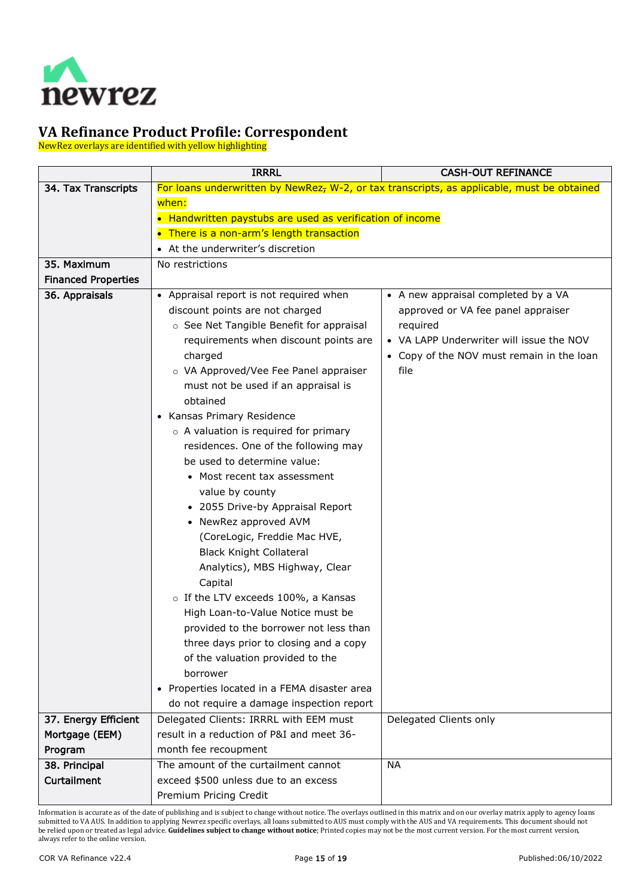

NewRez overlays are identified with yellow highlighting

<span id="page-14-4"></span><span id="page-14-3"></span><span id="page-14-2"></span><span id="page-14-1"></span><span id="page-14-0"></span>

|                            | <b>IRRRL</b>                                                                                           | <b>CASH-OUT REFINANCE</b>                 |  |
|----------------------------|--------------------------------------------------------------------------------------------------------|-------------------------------------------|--|
| 34. Tax Transcripts        | For loans underwritten by NewRez <sub>7</sub> W-2, or tax transcripts, as applicable, must be obtained |                                           |  |
|                            | when:                                                                                                  |                                           |  |
|                            | • Handwritten paystubs are used as verification of income                                              |                                           |  |
|                            | • There is a non-arm's length transaction                                                              |                                           |  |
|                            | • At the underwriter's discretion                                                                      |                                           |  |
| 35. Maximum                | No restrictions                                                                                        |                                           |  |
| <b>Financed Properties</b> |                                                                                                        |                                           |  |
| 36. Appraisals             | • Appraisal report is not required when                                                                | • A new appraisal completed by a VA       |  |
|                            | discount points are not charged                                                                        | approved or VA fee panel appraiser        |  |
|                            | ○ See Net Tangible Benefit for appraisal                                                               | required                                  |  |
|                            | requirements when discount points are                                                                  | • VA LAPP Underwriter will issue the NOV  |  |
|                            | charged                                                                                                | • Copy of the NOV must remain in the loan |  |
|                            | o VA Approved/Vee Fee Panel appraiser                                                                  | file                                      |  |
|                            | must not be used if an appraisal is                                                                    |                                           |  |
|                            | obtained                                                                                               |                                           |  |
|                            | • Kansas Primary Residence                                                                             |                                           |  |
|                            | o A valuation is required for primary                                                                  |                                           |  |
|                            | residences. One of the following may                                                                   |                                           |  |
|                            | be used to determine value:                                                                            |                                           |  |
|                            | • Most recent tax assessment                                                                           |                                           |  |
|                            | value by county                                                                                        |                                           |  |
|                            | • 2055 Drive-by Appraisal Report                                                                       |                                           |  |
|                            | • NewRez approved AVM                                                                                  |                                           |  |
|                            | (CoreLogic, Freddie Mac HVE,                                                                           |                                           |  |
|                            | <b>Black Knight Collateral</b>                                                                         |                                           |  |
|                            | Analytics), MBS Highway, Clear                                                                         |                                           |  |
|                            | Capital                                                                                                |                                           |  |
|                            | o If the LTV exceeds 100%, a Kansas                                                                    |                                           |  |
|                            | High Loan-to-Value Notice must be                                                                      |                                           |  |
|                            | provided to the borrower not less than                                                                 |                                           |  |
|                            | three days prior to closing and a copy                                                                 |                                           |  |
|                            | of the valuation provided to the                                                                       |                                           |  |
|                            | borrower                                                                                               |                                           |  |
|                            | • Properties located in a FEMA disaster area                                                           |                                           |  |
|                            | do not require a damage inspection report                                                              |                                           |  |
| 37. Energy Efficient       | Delegated Clients: IRRRL with EEM must                                                                 | Delegated Clients only                    |  |
| Mortgage (EEM)             | result in a reduction of P&I and meet 36-                                                              |                                           |  |
| Program                    | month fee recoupment                                                                                   |                                           |  |
| 38. Principal              | The amount of the curtailment cannot                                                                   | <b>NA</b>                                 |  |
| <b>Curtailment</b>         | exceed \$500 unless due to an excess                                                                   |                                           |  |
|                            | Premium Pricing Credit                                                                                 |                                           |  |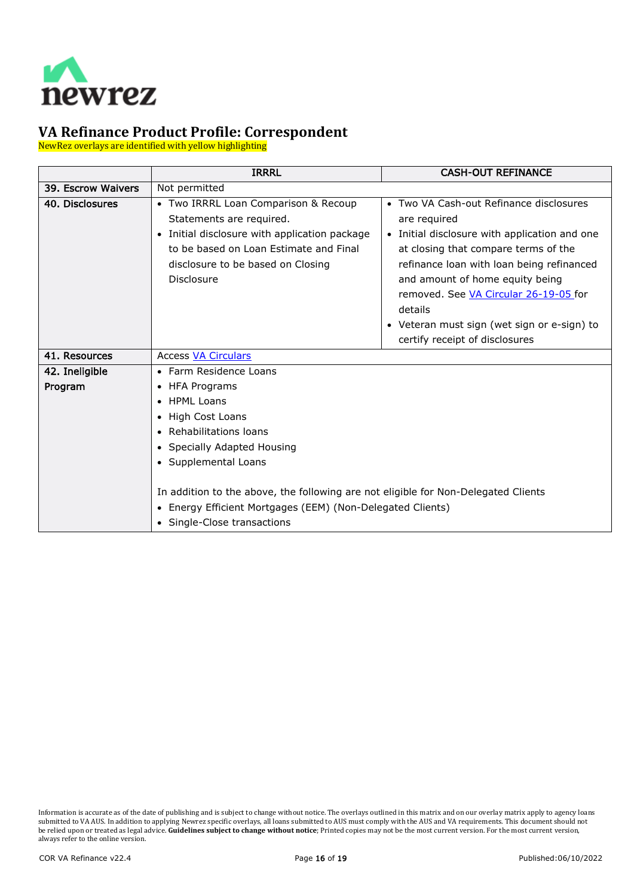

NewRez overlays are identified with yellow highlighting

<span id="page-15-3"></span><span id="page-15-2"></span><span id="page-15-1"></span><span id="page-15-0"></span>

|                    | <b>IRRRL</b>                                                                       | <b>CASH-OUT REFINANCE</b>                                |  |
|--------------------|------------------------------------------------------------------------------------|----------------------------------------------------------|--|
| 39. Escrow Waivers | Not permitted                                                                      |                                                          |  |
| 40. Disclosures    | • Two IRRRL Loan Comparison & Recoup                                               | Two VA Cash-out Refinance disclosures<br>$\bullet$       |  |
|                    | Statements are required.                                                           | are required                                             |  |
|                    | • Initial disclosure with application package                                      | Initial disclosure with application and one<br>$\bullet$ |  |
|                    | to be based on Loan Estimate and Final                                             | at closing that compare terms of the                     |  |
|                    | disclosure to be based on Closing                                                  | refinance loan with loan being refinanced                |  |
|                    | Disclosure                                                                         | and amount of home equity being                          |  |
|                    |                                                                                    | removed. See VA Circular 26-19-05 for                    |  |
|                    |                                                                                    | details                                                  |  |
|                    |                                                                                    | • Veteran must sign (wet sign or e-sign) to              |  |
|                    |                                                                                    | certify receipt of disclosures                           |  |
| 41. Resources      | <b>Access VA Circulars</b>                                                         |                                                          |  |
| 42. Ineligible     | • Farm Residence Loans                                                             |                                                          |  |
| Program            | <b>HFA Programs</b>                                                                |                                                          |  |
|                    | • HPML Loans                                                                       |                                                          |  |
|                    | • High Cost Loans                                                                  |                                                          |  |
|                    | • Rehabilitations loans                                                            |                                                          |  |
|                    | • Specially Adapted Housing                                                        |                                                          |  |
|                    | • Supplemental Loans                                                               |                                                          |  |
|                    |                                                                                    |                                                          |  |
|                    | In addition to the above, the following are not eligible for Non-Delegated Clients |                                                          |  |
|                    | • Energy Efficient Mortgages (EEM) (Non-Delegated Clients)                         |                                                          |  |
|                    | • Single-Close transactions                                                        |                                                          |  |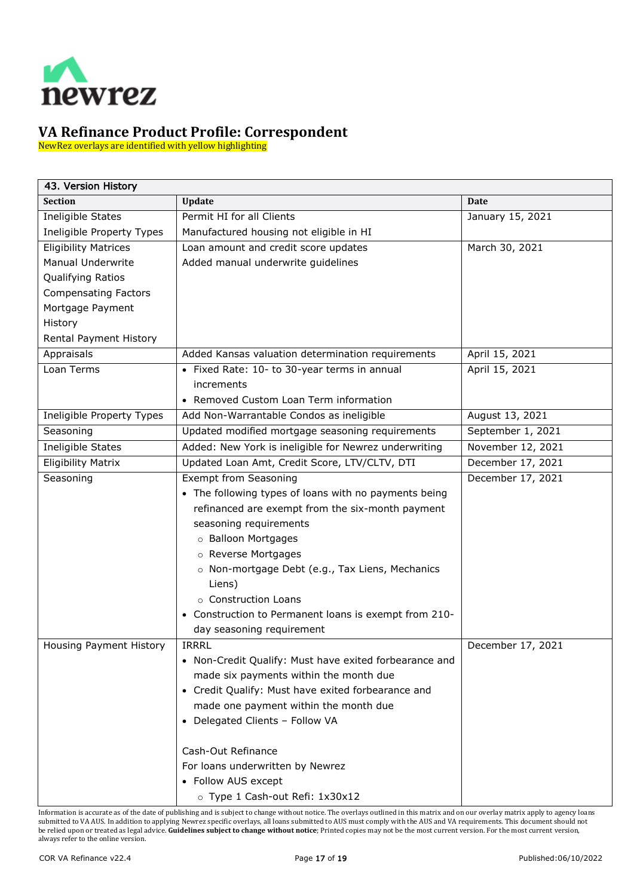

NewRez overlays are identified with yellow highlighting

<span id="page-16-0"></span>

| 43. Version History         |                                                        |                   |  |
|-----------------------------|--------------------------------------------------------|-------------------|--|
| <b>Section</b>              | Update                                                 | Date              |  |
| Ineligible States           | Permit HI for all Clients                              | January 15, 2021  |  |
| Ineligible Property Types   | Manufactured housing not eligible in HI                |                   |  |
| <b>Eligibility Matrices</b> | Loan amount and credit score updates                   | March 30, 2021    |  |
| <b>Manual Underwrite</b>    | Added manual underwrite guidelines                     |                   |  |
| Qualifying Ratios           |                                                        |                   |  |
| <b>Compensating Factors</b> |                                                        |                   |  |
| Mortgage Payment            |                                                        |                   |  |
| History                     |                                                        |                   |  |
| Rental Payment History      |                                                        |                   |  |
| Appraisals                  | Added Kansas valuation determination requirements      | April 15, 2021    |  |
| Loan Terms                  | • Fixed Rate: 10- to 30-year terms in annual           | April 15, 2021    |  |
|                             | increments                                             |                   |  |
|                             | • Removed Custom Loan Term information                 |                   |  |
| Ineligible Property Types   | Add Non-Warrantable Condos as ineligible               | August 13, 2021   |  |
| Seasoning                   | Updated modified mortgage seasoning requirements       | September 1, 2021 |  |
| Ineligible States           | Added: New York is ineligible for Newrez underwriting  | November 12, 2021 |  |
| <b>Eligibility Matrix</b>   | Updated Loan Amt, Credit Score, LTV/CLTV, DTI          | December 17, 2021 |  |
| Seasoning                   | <b>Exempt from Seasoning</b>                           | December 17, 2021 |  |
|                             | • The following types of loans with no payments being  |                   |  |
|                             | refinanced are exempt from the six-month payment       |                   |  |
|                             | seasoning requirements                                 |                   |  |
|                             | o Balloon Mortgages                                    |                   |  |
|                             | o Reverse Mortgages                                    |                   |  |
|                             | o Non-mortgage Debt (e.g., Tax Liens, Mechanics        |                   |  |
|                             | Liens)                                                 |                   |  |
|                             | o Construction Loans                                   |                   |  |
|                             | • Construction to Permanent loans is exempt from 210-  |                   |  |
|                             | day seasoning requirement                              |                   |  |
| Housing Payment History     | <b>IRRRL</b>                                           | December 17, 2021 |  |
|                             | • Non-Credit Qualify: Must have exited forbearance and |                   |  |
|                             | made six payments within the month due                 |                   |  |
|                             | • Credit Qualify: Must have exited forbearance and     |                   |  |
|                             | made one payment within the month due                  |                   |  |
|                             | • Delegated Clients - Follow VA                        |                   |  |
|                             |                                                        |                   |  |
|                             | Cash-Out Refinance                                     |                   |  |
|                             | For loans underwritten by Newrez                       |                   |  |
|                             | • Follow AUS except                                    |                   |  |
|                             | o Type 1 Cash-out Refi: 1x30x12                        |                   |  |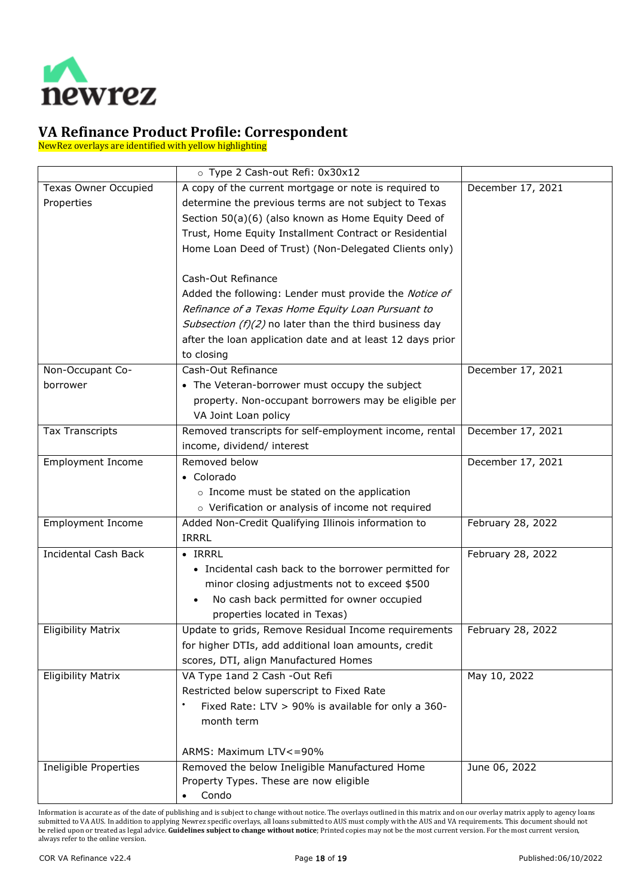

NewRez overlays are identified with yellow highlighting

|                             | o Type 2 Cash-out Refi: 0x30x12                            |                   |
|-----------------------------|------------------------------------------------------------|-------------------|
| <b>Texas Owner Occupied</b> | A copy of the current mortgage or note is required to      | December 17, 2021 |
| Properties                  | determine the previous terms are not subject to Texas      |                   |
|                             | Section 50(a)(6) (also known as Home Equity Deed of        |                   |
|                             | Trust, Home Equity Installment Contract or Residential     |                   |
|                             | Home Loan Deed of Trust) (Non-Delegated Clients only)      |                   |
|                             |                                                            |                   |
|                             | Cash-Out Refinance                                         |                   |
|                             | Added the following: Lender must provide the Notice of     |                   |
|                             | Refinance of a Texas Home Equity Loan Pursuant to          |                   |
|                             | Subsection (f)(2) no later than the third business day     |                   |
|                             | after the loan application date and at least 12 days prior |                   |
|                             | to closing                                                 |                   |
| Non-Occupant Co-            | Cash-Out Refinance                                         | December 17, 2021 |
| borrower                    | • The Veteran-borrower must occupy the subject             |                   |
|                             | property. Non-occupant borrowers may be eligible per       |                   |
|                             | VA Joint Loan policy                                       |                   |
| <b>Tax Transcripts</b>      | Removed transcripts for self-employment income, rental     | December 17, 2021 |
|                             | income, dividend/ interest                                 |                   |
| <b>Employment Income</b>    | Removed below                                              | December 17, 2021 |
|                             | • Colorado                                                 |                   |
|                             | o Income must be stated on the application                 |                   |
|                             | o Verification or analysis of income not required          |                   |
| <b>Employment Income</b>    | Added Non-Credit Qualifying Illinois information to        | February 28, 2022 |
|                             | <b>IRRRL</b>                                               |                   |
| <b>Incidental Cash Back</b> | $\bullet$ IRRRL                                            | February 28, 2022 |
|                             | • Incidental cash back to the borrower permitted for       |                   |
|                             | minor closing adjustments not to exceed \$500              |                   |
|                             | No cash back permitted for owner occupied<br>$\bullet$     |                   |
|                             | properties located in Texas)                               |                   |
| <b>Eligibility Matrix</b>   | Update to grids, Remove Residual Income requirements       | February 28, 2022 |
|                             | for higher DTIs, add additional loan amounts, credit       |                   |
|                             | scores, DTI, align Manufactured Homes                      |                   |
| <b>Eligibility Matrix</b>   | VA Type 1and 2 Cash -Out Refi                              | May 10, 2022      |
|                             | Restricted below superscript to Fixed Rate                 |                   |
|                             | Fixed Rate: LTV > 90% is available for only a 360-         |                   |
|                             | month term                                                 |                   |
|                             |                                                            |                   |
|                             | ARMS: Maximum LTV <= 90%                                   |                   |
| Ineligible Properties       | Removed the below Ineligible Manufactured Home             | June 06, 2022     |
|                             | Property Types. These are now eligible                     |                   |
|                             | Condo                                                      |                   |